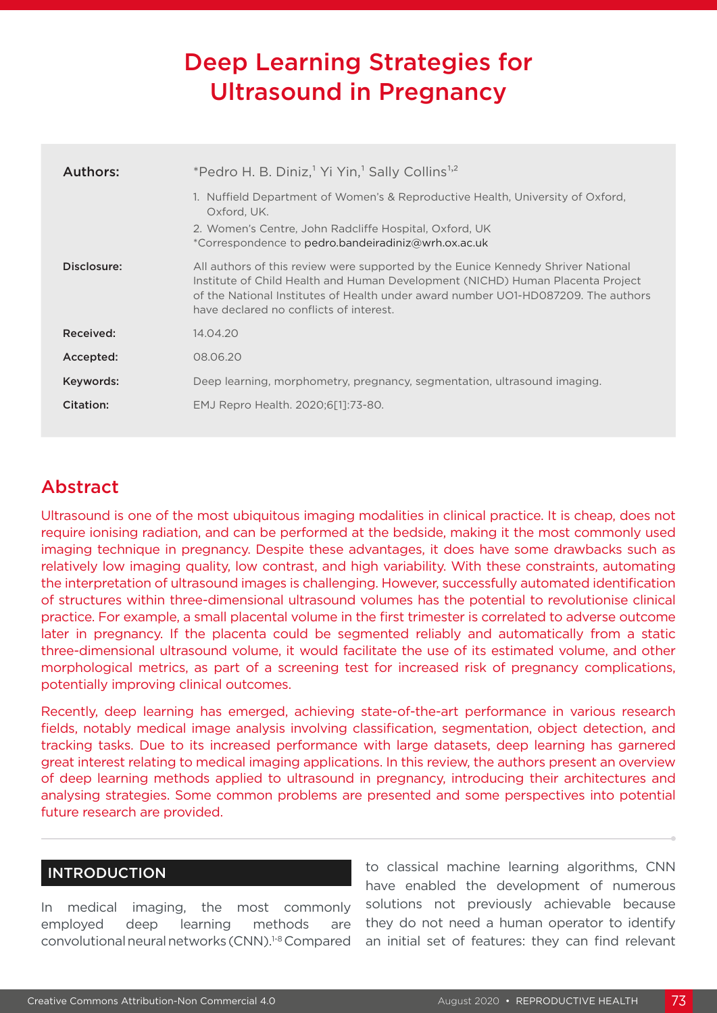# Deep Learning Strategies for Ultrasound in Pregnancy

| *Pedro H. B. Diniz, <sup>1</sup> Yi Yin, <sup>1</sup> Sally Collins <sup>1,2</sup>                                                                                                                                                                                                                 |
|----------------------------------------------------------------------------------------------------------------------------------------------------------------------------------------------------------------------------------------------------------------------------------------------------|
| 1. Nuffield Department of Women's & Reproductive Health, University of Oxford,<br>Oxford, UK.<br>2. Women's Centre, John Radcliffe Hospital, Oxford, UK<br>*Correspondence to pedro.bandeiradiniz@wrh.ox.ac.uk                                                                                     |
| All authors of this review were supported by the Eunice Kennedy Shriver National<br>Institute of Child Health and Human Development (NICHD) Human Placenta Project<br>of the National Institutes of Health under award number UO1-HD087209. The authors<br>have declared no conflicts of interest. |
| 14.04.20                                                                                                                                                                                                                                                                                           |
| 08.06.20                                                                                                                                                                                                                                                                                           |
| Deep learning, morphometry, pregnancy, segmentation, ultrasound imaging.                                                                                                                                                                                                                           |
| EMJ Repro Health. 2020;6[1]:73-80.                                                                                                                                                                                                                                                                 |
|                                                                                                                                                                                                                                                                                                    |

## Abstract

Ultrasound is one of the most ubiquitous imaging modalities in clinical practice. It is cheap, does not require ionising radiation, and can be performed at the bedside, making it the most commonly used imaging technique in pregnancy. Despite these advantages, it does have some drawbacks such as relatively low imaging quality, low contrast, and high variability. With these constraints, automating the interpretation of ultrasound images is challenging. However, successfully automated identification of structures within three-dimensional ultrasound volumes has the potential to revolutionise clinical practice. For example, a small placental volume in the first trimester is correlated to adverse outcome later in pregnancy. If the placenta could be segmented reliably and automatically from a static three-dimensional ultrasound volume, it would facilitate the use of its estimated volume, and other morphological metrics, as part of a screening test for increased risk of pregnancy complications, potentially improving clinical outcomes.

Recently, deep learning has emerged, achieving state-of-the-art performance in various research fields, notably medical image analysis involving classification, segmentation, object detection, and tracking tasks. Due to its increased performance with large datasets, deep learning has garnered great interest relating to medical imaging applications. In this review, the authors present an overview of deep learning methods applied to ultrasound in pregnancy, introducing their architectures and analysing strategies. Some common problems are presented and some perspectives into potential future research are provided.

### INTRODUCTION

In medical imaging, the most commonly employed deep learning methods are convolutional neural networks (CNN).1-8 Compared to classical machine learning algorithms, CNN have enabled the development of numerous solutions not previously achievable because they do not need a human operator to identify an initial set of features: they can find relevant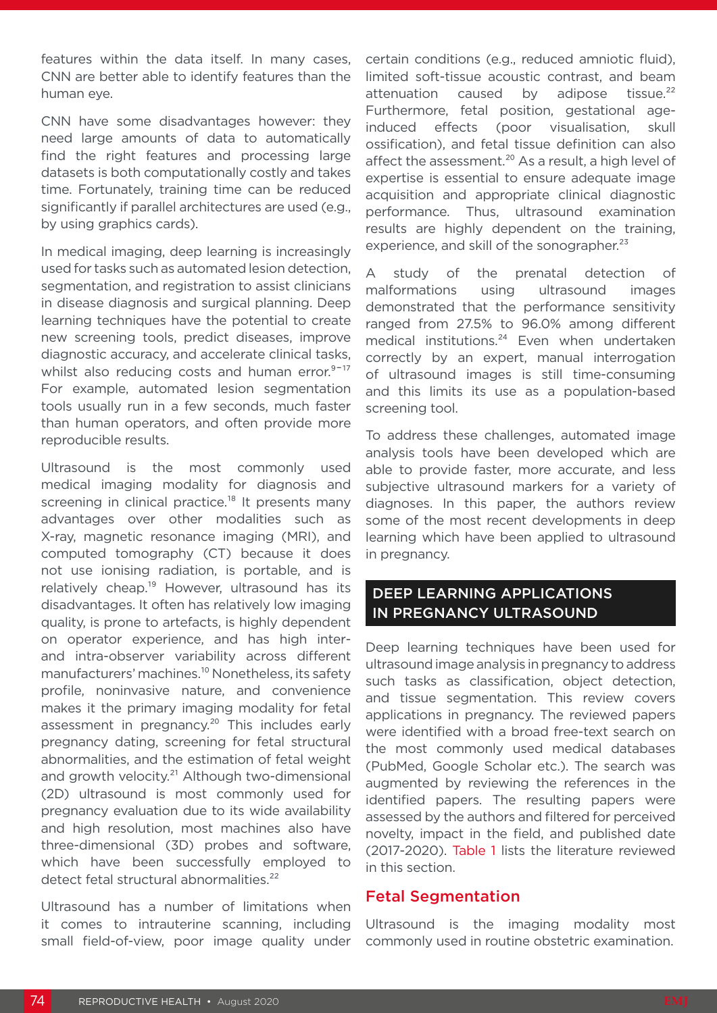features within the data itself. In many cases, CNN are better able to identify features than the human eye.

CNN have some disadvantages however: they need large amounts of data to automatically find the right features and processing large datasets is both computationally costly and takes time. Fortunately, training time can be reduced significantly if parallel architectures are used (e.g., by using graphics cards).

In medical imaging, deep learning is increasingly used for tasks such as automated lesion detection, segmentation, and registration to assist clinicians in disease diagnosis and surgical planning. Deep learning techniques have the potential to create new screening tools, predict diseases, improve diagnostic accuracy, and accelerate clinical tasks, whilst also reducing costs and human error.<sup>9-17</sup> For example, automated lesion segmentation tools usually run in a few seconds, much faster than human operators, and often provide more reproducible results.

Ultrasound is the most commonly used medical imaging modality for diagnosis and screening in clinical practice.<sup>18</sup> It presents many advantages over other modalities such as X-ray, magnetic resonance imaging (MRI), and computed tomography (CT) because it does not use ionising radiation, is portable, and is relatively cheap.<sup>19</sup> However, ultrasound has its disadvantages. It often has relatively low imaging quality, is prone to artefacts, is highly dependent on operator experience, and has high interand intra-observer variability across different manufacturers' machines.<sup>10</sup> Nonetheless, its safety profile, noninvasive nature, and convenience makes it the primary imaging modality for fetal assessment in pregnancy.<sup>20</sup> This includes early pregnancy dating, screening for fetal structural abnormalities, and the estimation of fetal weight and growth velocity.<sup>21</sup> Although two-dimensional (2D) ultrasound is most commonly used for pregnancy evaluation due to its wide availability and high resolution, most machines also have three-dimensional (3D) probes and software, which have been successfully employed to detect fetal structural abnormalities.<sup>22</sup>

Ultrasound has a number of limitations when it comes to intrauterine scanning, including small field-of-view, poor image quality under certain conditions (e.g., reduced amniotic fluid), limited soft-tissue acoustic contrast, and beam attenuation caused by adipose tissue.<sup>22</sup> Furthermore, fetal position, gestational ageinduced effects (poor visualisation, skull ossification), and fetal tissue definition can also affect the assessment.<sup>20</sup> As a result, a high level of expertise is essential to ensure adequate image acquisition and appropriate clinical diagnostic performance. Thus, ultrasound examination results are highly dependent on the training, experience, and skill of the sonographer.<sup>23</sup>

study of the prenatal detection of malformations using ultrasound images demonstrated that the performance sensitivity ranged from 27.5% to 96.0% among different medical institutions.<sup>24</sup> Even when undertaken correctly by an expert, manual interrogation of ultrasound images is still time-consuming and this limits its use as a population-based screening tool.

To address these challenges, automated image analysis tools have been developed which are able to provide faster, more accurate, and less subjective ultrasound markers for a variety of diagnoses. In this paper, the authors review some of the most recent developments in deep learning which have been applied to ultrasound in pregnancy.

#### DEEP LEARNING APPLICATIONS IN PREGNANCY ULTRASOUND

Deep learning techniques have been used for ultrasound image analysis in pregnancy to address such tasks as classification, object detection, and tissue segmentation. This review covers applications in pregnancy. The reviewed papers were identified with a broad free-text search on the most commonly used medical databases (PubMed, Google Scholar etc.). The search was augmented by reviewing the references in the identified papers. The resulting papers were assessed by the authors and filtered for perceived novelty, impact in the field, and published date (2017-2020). Table 1 lists the literature reviewed in this section.

#### Fetal Segmentation

Ultrasound is the imaging modality most commonly used in routine obstetric examination.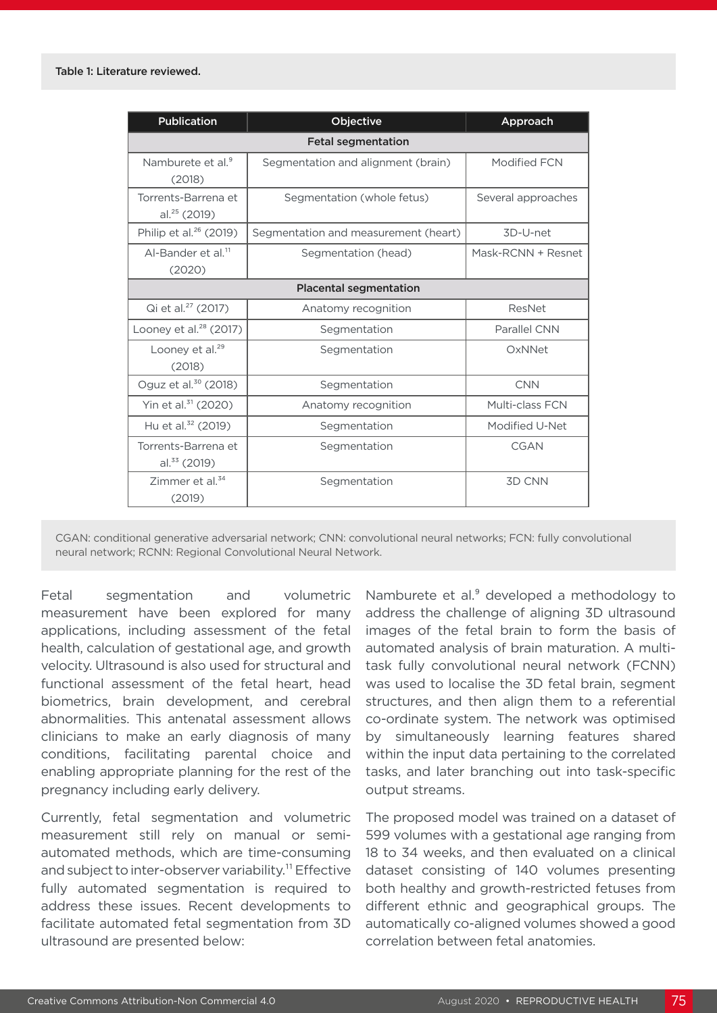| <b>Publication</b>                              | Objective                            | Approach           |  |
|-------------------------------------------------|--------------------------------------|--------------------|--|
| <b>Fetal segmentation</b>                       |                                      |                    |  |
| Namburete et al. <sup>9</sup><br>(2018)         | Segmentation and alignment (brain)   | Modified FCN       |  |
| Torrents-Barrena et<br>al. <sup>25</sup> (2019) | Segmentation (whole fetus)           | Several approaches |  |
| Philip et al. <sup>26</sup> (2019)              | Segmentation and measurement (heart) | 3D-U-net           |  |
| Al-Bander et al. <sup>11</sup><br>(2020)        | Segmentation (head)                  | Mask-RCNN + Resnet |  |
| <b>Placental segmentation</b>                   |                                      |                    |  |
| Qi et al. <sup>27</sup> (2017)                  | Anatomy recognition                  | ResNet             |  |
| Looney et al. <sup>28</sup> (2017)              | Segmentation                         | Parallel CNN       |  |
| Looney et al. <sup>29</sup><br>(2018)           | Segmentation                         | OxNNet             |  |
| Oguz et al. <sup>30</sup> (2018)                | Segmentation                         | <b>CNN</b>         |  |
| Yin et al. <sup>31</sup> (2020)                 | Anatomy recognition                  | Multi-class FCN    |  |
| Hu et al. <sup>32</sup> (2019)                  | Segmentation                         | Modified U-Net     |  |
| Torrents-Barrena et<br>al. $33$ (2019)          | Segmentation                         | <b>CGAN</b>        |  |
| Zimmer et al. <sup>34</sup><br>(2019)           | Segmentation                         | <b>3D CNN</b>      |  |

CGAN: conditional generative adversarial network; CNN: convolutional neural networks; FCN: fully convolutional neural network; RCNN: Regional Convolutional Neural Network.

Fetal segmentation and volumetric measurement have been explored for many applications, including assessment of the fetal health, calculation of gestational age, and growth velocity. Ultrasound is also used for structural and functional assessment of the fetal heart, head biometrics, brain development, and cerebral abnormalities. This antenatal assessment allows clinicians to make an early diagnosis of many conditions, facilitating parental choice and enabling appropriate planning for the rest of the pregnancy including early delivery.

Currently, fetal segmentation and volumetric measurement still rely on manual or semiautomated methods, which are time-consuming and subject to inter-observer variability.<sup>11</sup> Effective fully automated segmentation is required to address these issues. Recent developments to facilitate automated fetal segmentation from 3D ultrasound are presented below:

Namburete et al.<sup>9</sup> developed a methodology to address the challenge of aligning 3D ultrasound images of the fetal brain to form the basis of automated analysis of brain maturation. A multitask fully convolutional neural network (FCNN) was used to localise the 3D fetal brain, segment structures, and then align them to a referential co-ordinate system. The network was optimised by simultaneously learning features shared within the input data pertaining to the correlated tasks, and later branching out into task-specific output streams.

The proposed model was trained on a dataset of 599 volumes with a gestational age ranging from 18 to 34 weeks, and then evaluated on a clinical dataset consisting of 140 volumes presenting both healthy and growth-restricted fetuses from different ethnic and geographical groups. The automatically co-aligned volumes showed a good correlation between fetal anatomies.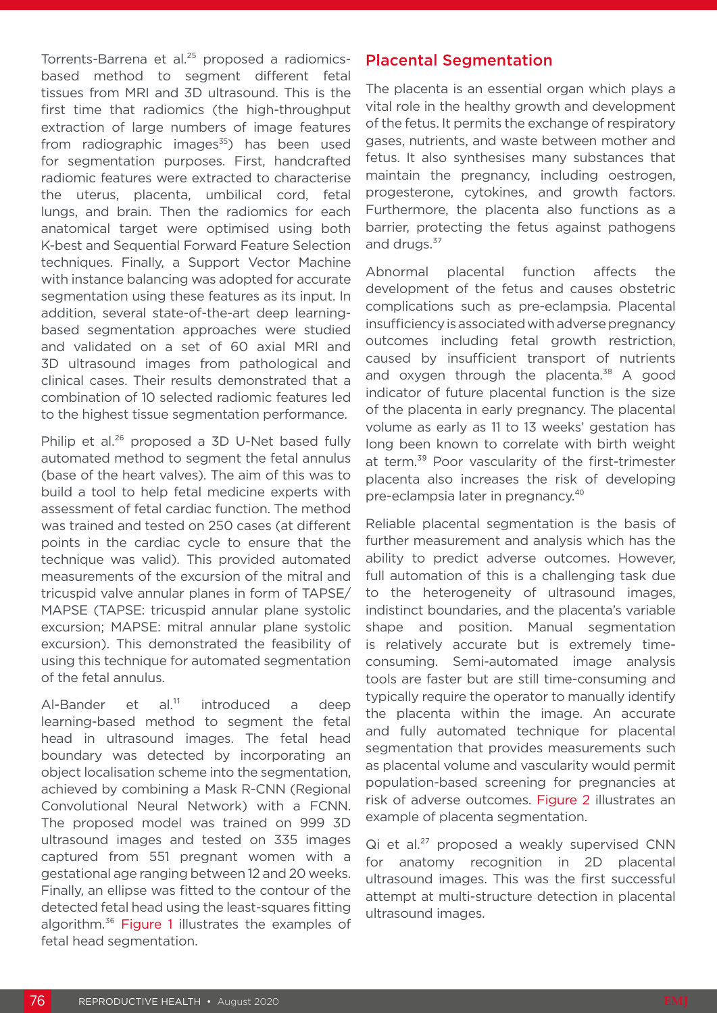Torrents-Barrena et al.<sup>25</sup> proposed a radiomicsbased method to segment different fetal tissues from MRI and 3D ultrasound. This is the first time that radiomics (the high-throughput extraction of large numbers of image features from radiographic images $35$ ) has been used for segmentation purposes. First, handcrafted radiomic features were extracted to characterise the uterus, placenta, umbilical cord, fetal lungs, and brain. Then the radiomics for each anatomical target were optimised using both K-best and Sequential Forward Feature Selection techniques. Finally, a Support Vector Machine with instance balancing was adopted for accurate segmentation using these features as its input. In addition, several state-of-the-art deep learningbased segmentation approaches were studied and validated on a set of 60 axial MRI and 3D ultrasound images from pathological and clinical cases. Their results demonstrated that a combination of 10 selected radiomic features led to the highest tissue segmentation performance.

Philip et al.<sup>26</sup> proposed a 3D U-Net based fully automated method to segment the fetal annulus (base of the heart valves). The aim of this was to build a tool to help fetal medicine experts with assessment of fetal cardiac function. The method was trained and tested on 250 cases (at different points in the cardiac cycle to ensure that the technique was valid). This provided automated measurements of the excursion of the mitral and tricuspid valve annular planes in form of TAPSE/ MAPSE (TAPSE: tricuspid annular plane systolic excursion; MAPSE: mitral annular plane systolic excursion). This demonstrated the feasibility of using this technique for automated segmentation of the fetal annulus.

Al-Bander et al. $11$  introduced a deep learning-based method to segment the fetal head in ultrasound images. The fetal head boundary was detected by incorporating an object localisation scheme into the segmentation, achieved by combining a Mask R-CNN (Regional Convolutional Neural Network) with a FCNN. The proposed model was trained on 999 3D ultrasound images and tested on 335 images captured from 551 pregnant women with a gestational age ranging between 12 and 20 weeks. Finally, an ellipse was fitted to the contour of the detected fetal head using the least-squares fitting algorithm.<sup>36</sup> Figure 1 illustrates the examples of fetal head segmentation.

#### Placental Segmentation

The placenta is an essential organ which plays a vital role in the healthy growth and development of the fetus. It permits the exchange of respiratory gases, nutrients, and waste between mother and fetus. It also synthesises many substances that maintain the pregnancy, including oestrogen, progesterone, cytokines, and growth factors. Furthermore, the placenta also functions as a barrier, protecting the fetus against pathogens and drugs.<sup>37</sup>

Abnormal placental function affects the development of the fetus and causes obstetric complications such as pre-eclampsia. Placental insufficiency is associated with adverse pregnancy outcomes including fetal growth restriction, caused by insufficient transport of nutrients and oxygen through the placenta. $38$  A good indicator of future placental function is the size of the placenta in early pregnancy. The placental volume as early as 11 to 13 weeks' gestation has long been known to correlate with birth weight at term.<sup>39</sup> Poor vascularity of the first-trimester placenta also increases the risk of developing pre-eclampsia later in pregnancy.<sup>40</sup>

Reliable placental segmentation is the basis of further measurement and analysis which has the ability to predict adverse outcomes. However, full automation of this is a challenging task due to the heterogeneity of ultrasound images, indistinct boundaries, and the placenta's variable shape and position. Manual segmentation is relatively accurate but is extremely timeconsuming. Semi-automated image analysis tools are faster but are still time-consuming and typically require the operator to manually identify the placenta within the image. An accurate and fully automated technique for placental segmentation that provides measurements such as placental volume and vascularity would permit population-based screening for pregnancies at risk of adverse outcomes. Figure 2 illustrates an example of placenta segmentation.

 $Qi$  et al.<sup>27</sup> proposed a weakly supervised CNN for anatomy recognition in 2D placental ultrasound images. This was the first successful attempt at multi-structure detection in placental ultrasound images.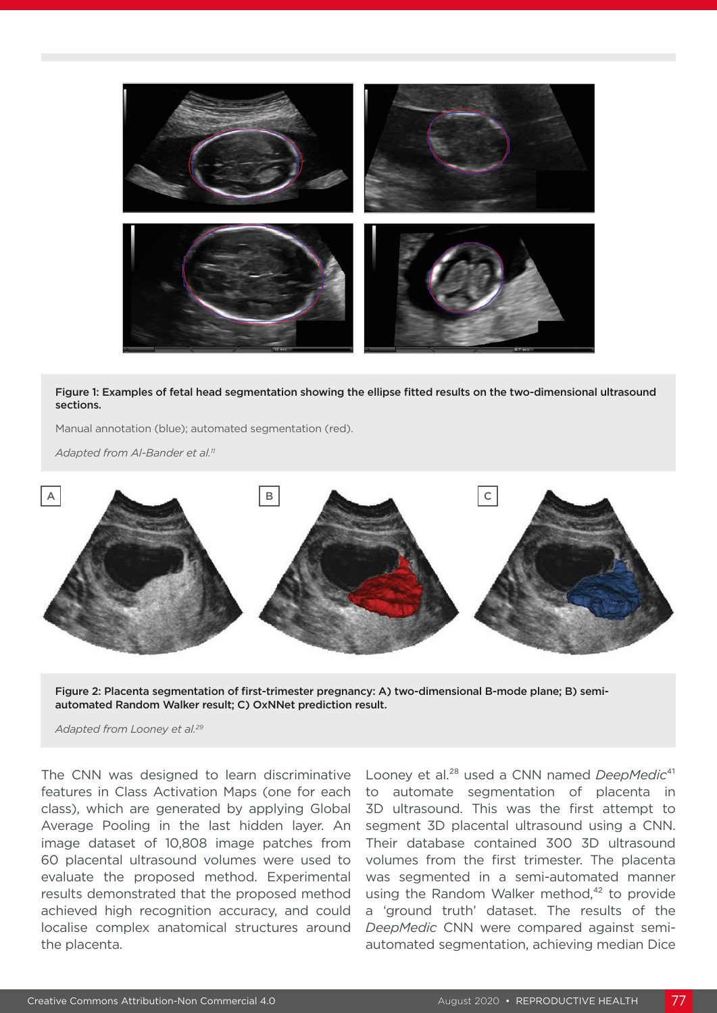

Figure 1: Examples of fetal head segmentation showing the ellipse fitted results on the two-dimensional ultrasound sections.

Manual annotation (blue); automated segmentation (red).

*Adapted from Al-Bander et al.11*



Figure 2: Placenta segmentation of first-trimester pregnancy: A) two-dimensional B-mode plane; B) semiautomated Random Walker result; C) OxNNet prediction result.

*Adapted from Looney et al.29*

The CNN was designed to learn discriminative features in Class Activation Maps (one for each class), which are generated by applying Global Average Pooling in the last hidden layer. An image dataset of 10,808 image patches from 60 placental ultrasound volumes were used to evaluate the proposed method. Experimental results demonstrated that the proposed method achieved high recognition accuracy, and could localise complex anatomical structures around the placenta.

Looney et al.<sup>28</sup> used a CNN named *DeepMedic*<sup>41</sup> to automate segmentation of placenta in 3D ultrasound. This was the first attempt to segment 3D placental ultrasound using a CNN. Their database contained 300 3D ultrasound volumes from the first trimester. The placenta was segmented in a semi-automated manner using the Random Walker method,<sup>42</sup> to provide a 'ground truth' dataset. The results of the *DeepMedic* CNN were compared against semiautomated segmentation, achieving median Dice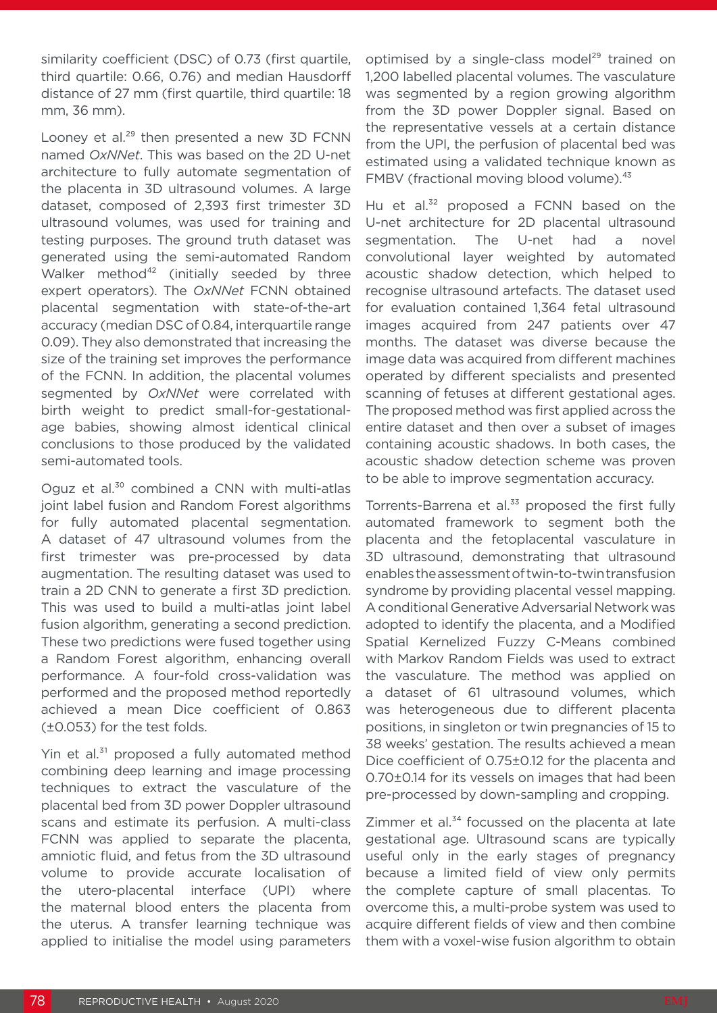similarity coefficient (DSC) of 0.73 (first quartile, third quartile: 0.66, 0.76) and median Hausdorff distance of 27 mm (first quartile, third quartile: 18 mm, 36 mm).

Looney et al. $^{29}$  then presented a new 3D FCNN named *OxNNet*. This was based on the 2D U-net architecture to fully automate segmentation of the placenta in 3D ultrasound volumes. A large dataset, composed of 2,393 first trimester 3D ultrasound volumes, was used for training and testing purposes. The ground truth dataset was generated using the semi-automated Random Walker method<sup>42</sup> (initially seeded by three expert operators). The *OxNNet* FCNN obtained placental segmentation with state-of-the-art accuracy (median DSC of 0.84, interquartile range 0.09). They also demonstrated that increasing the size of the training set improves the performance of the FCNN. In addition, the placental volumes segmented by *OxNNet* were correlated with birth weight to predict small-for-gestationalage babies, showing almost identical clinical conclusions to those produced by the validated semi-automated tools.

Oguz et al.<sup>30</sup> combined a CNN with multi-atlas joint label fusion and Random Forest algorithms for fully automated placental segmentation. A dataset of 47 ultrasound volumes from the first trimester was pre-processed by data augmentation. The resulting dataset was used to train a 2D CNN to generate a first 3D prediction. This was used to build a multi-atlas joint label fusion algorithm, generating a second prediction. These two predictions were fused together using a Random Forest algorithm, enhancing overall performance. A four-fold cross-validation was performed and the proposed method reportedly achieved a mean Dice coefficient of 0.863 (±0.053) for the test folds.

Yin et al.<sup>31</sup> proposed a fully automated method combining deep learning and image processing techniques to extract the vasculature of the placental bed from 3D power Doppler ultrasound scans and estimate its perfusion. A multi-class FCNN was applied to separate the placenta, amniotic fluid, and fetus from the 3D ultrasound volume to provide accurate localisation of the utero-placental interface (UPI) where the maternal blood enters the placenta from the uterus. A transfer learning technique was applied to initialise the model using parameters

optimised by a single-class model<sup>29</sup> trained on 1,200 labelled placental volumes. The vasculature was segmented by a region growing algorithm from the 3D power Doppler signal. Based on the representative vessels at a certain distance from the UPI, the perfusion of placental bed was estimated using a validated technique known as FMBV (fractional moving blood volume).<sup>43</sup>

Hu et  $al^{32}$  proposed a FCNN based on the U-net architecture for 2D placental ultrasound segmentation. The U-net had a novel convolutional layer weighted by automated acoustic shadow detection, which helped to recognise ultrasound artefacts. The dataset used for evaluation contained 1,364 fetal ultrasound images acquired from 247 patients over 47 months. The dataset was diverse because the image data was acquired from different machines operated by different specialists and presented scanning of fetuses at different gestational ages. The proposed method was first applied across the entire dataset and then over a subset of images containing acoustic shadows. In both cases, the acoustic shadow detection scheme was proven to be able to improve segmentation accuracy.

Torrents-Barrena et al.<sup>33</sup> proposed the first fully automated framework to segment both the placenta and the fetoplacental vasculature in 3D ultrasound, demonstrating that ultrasound enables the assessment of twin-to-twin transfusion syndrome by providing placental vessel mapping. A conditional Generative Adversarial Network was adopted to identify the placenta, and a Modified Spatial Kernelized Fuzzy C-Means combined with Markov Random Fields was used to extract the vasculature. The method was applied on a dataset of 61 ultrasound volumes, which was heterogeneous due to different placenta positions, in singleton or twin pregnancies of 15 to 38 weeks' gestation. The results achieved a mean Dice coefficient of 0.75±0.12 for the placenta and 0.70±0.14 for its vessels on images that had been pre-processed by down-sampling and cropping.

Zimmer et al. $34$  focussed on the placenta at late gestational age. Ultrasound scans are typically useful only in the early stages of pregnancy because a limited field of view only permits the complete capture of small placentas. To overcome this, a multi-probe system was used to acquire different fields of view and then combine them with a voxel-wise fusion algorithm to obtain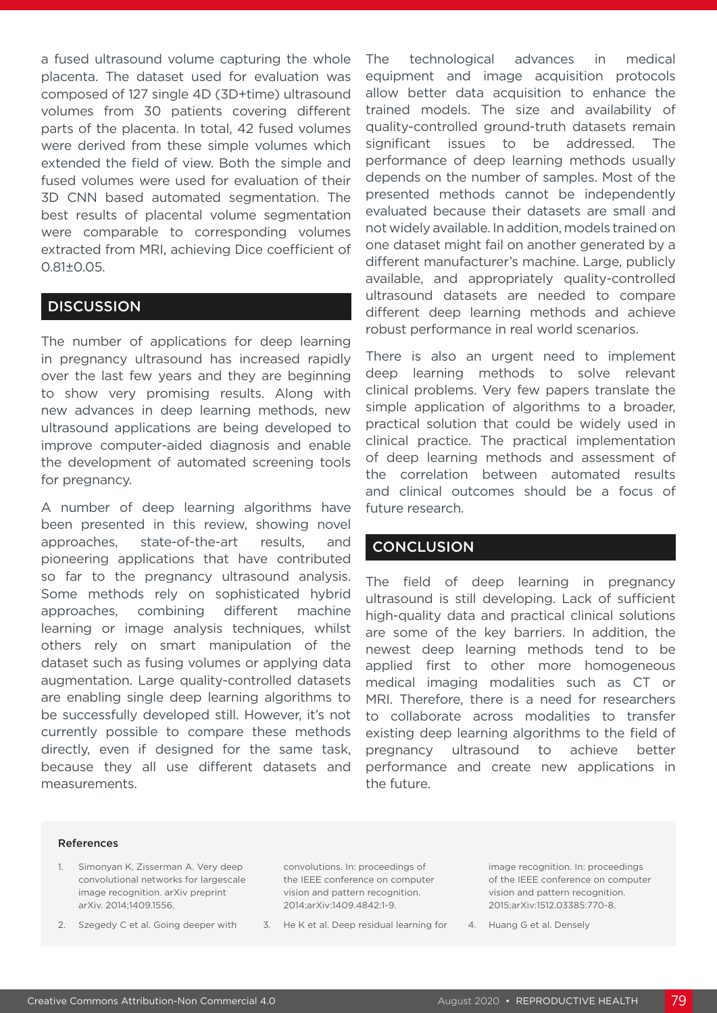a fused ultrasound volume capturing the whole placenta. The dataset used for evaluation was composed of 127 single 4D (3D+time) ultrasound volumes from 30 patients covering different parts of the placenta. In total, 42 fused volumes were derived from these simple volumes which extended the field of view. Both the simple and fused volumes were used for evaluation of their 3D CNN based automated segmentation. The best results of placental volume segmentation were comparable to corresponding volumes extracted from MRI, achieving Dice coefficient of 0.81±0.05.

#### **DISCUSSION**

The number of applications for deep learning in pregnancy ultrasound has increased rapidly over the last few years and they are beginning to show very promising results. Along with new advances in deep learning methods, new ultrasound applications are being developed to improve computer-aided diagnosis and enable the development of automated screening tools for pregnancy.

A number of deep learning algorithms have been presented in this review, showing novel approaches, state-of-the-art results, and pioneering applications that have contributed so far to the pregnancy ultrasound analysis. Some methods rely on sophisticated hybrid approaches, combining different machine learning or image analysis techniques, whilst others rely on smart manipulation of the dataset such as fusing volumes or applying data augmentation. Large quality-controlled datasets are enabling single deep learning algorithms to be successfully developed still. However, it's not currently possible to compare these methods directly, even if designed for the same task, because they all use different datasets and measurements.

The technological advances in medical equipment and image acquisition protocols allow better data acquisition to enhance the trained models. The size and availability of quality-controlled ground-truth datasets remain significant issues to be addressed. The performance of deep learning methods usually depends on the number of samples. Most of the presented methods cannot be independently evaluated because their datasets are small and not widely available. In addition, models trained on one dataset might fail on another generated by a different manufacturer's machine. Large, publicly available, and appropriately quality-controlled ultrasound datasets are needed to compare different deep learning methods and achieve robust performance in real world scenarios.

There is also an urgent need to implement deep learning methods to solve relevant clinical problems. Very few papers translate the simple application of algorithms to a broader, practical solution that could be widely used in clinical practice. The practical implementation of deep learning methods and assessment of the correlation between automated results and clinical outcomes should be a focus of future research.

#### **CONCLUSION**

The field of deep learning in pregnancy ultrasound is still developing. Lack of sufficient high-quality data and practical clinical solutions are some of the key barriers. In addition, the newest deep learning methods tend to be applied first to other more homogeneous medical imaging modalities such as CT or MRI. Therefore, there is a need for researchers to collaborate across modalities to transfer existing deep learning algorithms to the field of pregnancy ultrasound to achieve better performance and create new applications in the future.

#### References

- 1. Simonyan K, Zisserman A. Very deep convolutional networks for largescale image recognition. arXiv preprint arXiv. 2014;1409.1556.
- 2. Szegedy C et al. Going deeper with

convolutions. In: proceedings of the IEEE conference on computer vision and pattern recognition. 2014;arXiv:1409.4842:1-9.

3. He K et al. Deep residual learning for

image recognition. In: proceedings of the IEEE conference on computer vision and pattern recognition. 2015;arXiv:1512.03385:770-8.

4. Huang G et al. Densely